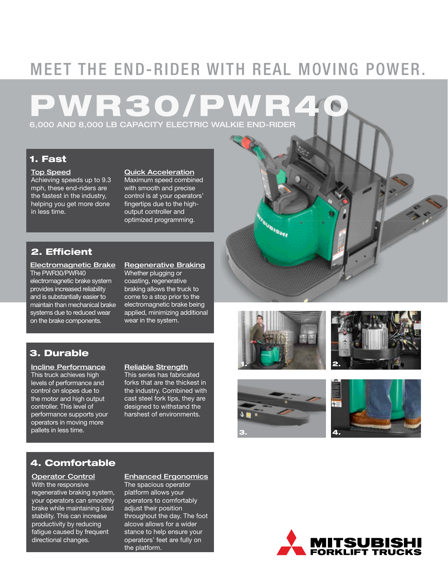# MEET THE END-RIDER WITH REAL MOVING POWER.

# **PWR30** 6,000 AND 8,000 LB CAPACITY ELECTRIC WALKIE END-RIDER

# 1. Fast

## Top Speed

Achieving speeds up to 9.3 mph, these end-riders are the fastest in the industry, helping you get more done in less time.

## Quick Acceleration

Maximum speed combined with smooth and precise control is at your operators' fingertips due to the highoutput controller and optimized programming.

# 2. Efficient

Electromagnetic Brake The PWR30/PWR40 electromagnetic brake system provides increased reliability and is substantially easier to maintain than mechanical brake systems due to reduced wear on the brake components.

#### Regenerative Braking Whether plugging or coasting, regenerative braking allows the truck to

come to a stop prior to the electromagnetic brake being applied, minimizing additional wear in the system.

# 3. Durable

Incline Performance This truck achieves high levels of performance and control on slopes due to the motor and high output controller. This level of performance supports your operators in moving more pallets in less time.

## Reliable Strength

This series has fabricated forks that are the thickest in the industry. Combined with cast steel fork tips, they are designed to withstand the harshest of environments.

# 4. Comfortable

Operator Control With the responsive regenerative braking system, your operators can smoothly brake while maintaining load stability. This can increase productivity by reducing fatigue caused by frequent directional changes.

Enhanced Ergonomics The spacious operator platform allows your operators to comfortably adjust their position throughout the day. The foot alcove allows for a wider stance to help ensure your operators' feet are fully on the platform.



**Grand** 







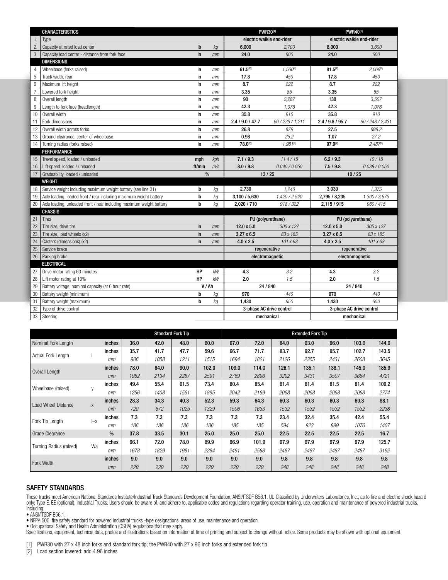|                | <b>CHARACTERISTICS</b>                                               | <b>PWR30[1]</b>           |           | <b>PWR40[1]</b>           |                 |                   |                  |  |
|----------------|----------------------------------------------------------------------|---------------------------|-----------|---------------------------|-----------------|-------------------|------------------|--|
|                | Type                                                                 | electric walkie end-rider |           | electric walkie end-rider |                 |                   |                  |  |
| $\overline{c}$ | Capacity at rated load center                                        | $\mathsf{lb}$             | kg        | 6,000                     | 2.700           | 8.000             | 3.600            |  |
| 3              | Capacity load center - distance from fork face                       | in                        | mm        | 24.0                      | 600             | 24.0              | 600              |  |
|                | <b>DIMENSIONS</b>                                                    |                           |           |                           |                 |                   |                  |  |
| 4              | Wheelbase (forks raised)                                             | in                        | mm        | $61.5^{[2]}$              | $1.560^{2}$     | $81.5^{[2]}$      | $2.068^{[2]}$    |  |
| $\sqrt{5}$     | Track width, rear                                                    | in                        | mm        | 17.8                      | 450             | 17.8              | 450              |  |
| 6              | Maximum lift height                                                  | in                        | mm        | 8.7                       | 222             | 8.7               | 222              |  |
| $\overline{7}$ | Lowered fork height                                                  | in                        | mm        | 3.35                      | 85              | 3.35              | 85               |  |
| 8              | Overall length                                                       | in                        | mm        | 90                        | 2.287           | 138               | 3.507            |  |
| $9\,$          | Length to fork face (headlength)                                     | in                        | mm        | 42.3                      | 1,076           | 42.3              | 1,076            |  |
| 10             | Overall width                                                        | in                        | mm        | 35.8                      | 910             | 35.8              | 910              |  |
| 11             | Fork dimensions                                                      | in                        | mm        | 2.4 / 9.0 / 47.7          | 60/229/1,211    | 2.4 / 9.8 / 95.7  | 60 / 248 / 2,431 |  |
| 12             | Overall width across forks                                           | in                        | mm        | 26.8                      | 679             | 27.5              | 698.2            |  |
| 13             | Ground clearance, center of wheelbase                                | in                        | mm        | 0.98                      | 25.2            | 1.07              | 27.2             |  |
| 14             | Turning radius (forks raised)                                        | in                        | mm        | 78.0[2]                   | 1,981(2)        | 97.9[2]           | 2,4872           |  |
|                | PERFORMANCE                                                          |                           |           |                           |                 |                   |                  |  |
| 15             | Travel speed, loaded / unloaded                                      | mph                       | kph       | 7.1 / 9.3                 | 11.4/15         | 6.2 / 9.3         | 10/15            |  |
| 16             | Lift speed, loaded / unloaded                                        | ft/min                    | m/s       | 8.0 / 9.8                 | 0.040 / 0.050   | 7.5/9.8           | 0.038 / 0.050    |  |
| 17             | Gradeability, loaded / unloaded                                      | $\%$                      |           | 13/25                     |                 | 10/25             |                  |  |
|                | WEIGHT                                                               |                           |           |                           |                 |                   |                  |  |
| 18             | Service weight including maximum weight battery (see line 31)        | Ib                        | kg        | 2,730                     | 1,240           | 3,030             | 1,375            |  |
| 19             | Axle loading, loaded front / rear including maximum weight battery   | lb                        | kg        | 3,100 / 5,630             | 1,420 / 2,520   | 2,795 / 8,235     | 1,300 / 3,675    |  |
| 20             | Axle loading, unloaded front / rear including maximum weight battery | Ib                        | ka        | 2.020 / 710               | 918 / 322       | 2,115 / 915       | 960/415          |  |
|                | <b>CHASSIS</b>                                                       |                           |           |                           |                 |                   |                  |  |
| 21             | <b>Tires</b>                                                         |                           |           | PU (polyurethane)         |                 | PU (polyurethane) |                  |  |
| 22             | Tire size, drive tire                                                | in                        | mm        | $12.0 \times 5.0$         | 305 x 127       | $12.0 \times 5.0$ | 305 x 127        |  |
| 23             | Tire size, load wheels (x2)                                          | in                        | mm        | $3.27 \times 6.5$         | 83 x 165        | $3.27 \times 6.5$ | 83 x 165         |  |
| 24             | Casters (dimensions) (x2)                                            | in                        | mm        | $4.0 \times 2.5$          | $101 \times 63$ | $4.0 \times 2.5$  | $101 \times 63$  |  |
| 25             | Service brake                                                        |                           |           | regenerative              |                 | regenerative      |                  |  |
| 26             | Parking brake                                                        |                           |           |                           | electromagnetic | electromagnetic   |                  |  |
|                | <b>ELECTRICAL</b>                                                    |                           |           |                           |                 |                   |                  |  |
| 27             | Drive motor rating 60 minutes                                        | HP                        | <b>kW</b> | 4.3                       | 3.2             | 4.3               | 3.2              |  |
| 28             | Lift motor rating at 10%                                             | HP                        | kW        | 2.0                       | 1.5             | 2.0               | 1.5              |  |
| 29             | Battery voltage, nominal capacity (at 6 hour rate)                   | V/Ah                      |           | 24 / 840                  |                 | 24 / 840          |                  |  |
| 30             | Battery weight (minimum)                                             | Ib                        | kg        | 970                       | 440             | 970               | 440              |  |
| 31             | Battery weight (maximum)                                             | Ib                        | kg        | 1.430                     | 650             | 1.430             | 650              |  |
| 32             | Type of drive control                                                | 3-phase AC drive control  |           | 3-phase AC drive control  |                 |                   |                  |  |
| 33             | Steering                                                             | mechanical                |           | mechanical                |                 |                   |                  |  |

|                         | <b>Standard Fork Tip</b> |        |      |      |      | <b>Extended Fork Tip</b> |       |       |       |       |       |       |       |
|-------------------------|--------------------------|--------|------|------|------|--------------------------|-------|-------|-------|-------|-------|-------|-------|
| Nominal Fork Length     |                          | inches | 36.0 | 42.0 | 48.0 | 60.0                     | 67.0  | 72.0  | 84.0  | 93.0  | 96.0  | 103.0 | 144.0 |
| Actual Fork Length      |                          | inches | 35.7 | 41.7 | 47.7 | 59.6                     | 66.7  | 71.7  | 83.7  | 92.7  | 95.7  | 102.7 | 143.5 |
|                         |                          | mm     | 906  | 1058 | 1211 | 1515                     | 1694  | 1821  | 2126  | 2355  | 2431  | 2608  | 3645  |
| Overall Length          |                          | inches | 78.0 | 84.0 | 90.0 | 102.0                    | 109.0 | 114.0 | 126.1 | 135.1 | 138.1 | 145.0 | 185.9 |
|                         |                          | mm     | 1982 | 2134 | 2287 | 2591                     | 2769  | 2896  | 3202  | 3431  | 3507  | 3684  | 4721  |
|                         |                          | inches | 49.4 | 55.4 | 61.5 | 73.4                     | 80.4  | 85.4  | 81.4  | 81.4  | 81.5  | 81.4  | 109.2 |
| Wheelbase (raised)      | y                        | mm     | 1256 | 1408 | 1561 | 1865                     | 2042  | 2169  | 2068  | 2068  | 2068  | 2068  | 2774  |
|                         |                          | inches | 28.3 | 34.3 | 40.3 | 52.3                     | 59.3  | 64.3  | 60.3  | 60.3  | 60.3  | 60.3  | 88.1  |
| Load Wheel Distance     | X                        | mm     | 720  | 872  | 1025 | 1329                     | 1506  | 1633  | 1532  | 1532  | 1532  | 1532  | 2238  |
|                         |                          | inches | 7.3  | 7.3  | 7.3  | 7.3                      | 7.3   | 7.3   | 23.4  | 32.4  | 35.4  | 42.4  | 55.4  |
| Fork Tip Length         | $-x$                     | mm     | 186  | 186  | 186  | 186                      | 185   | 185   | 594   | 823   | 899   | 1076  | 1407  |
| Grade Clearance         |                          | $\%$   | 37.8 | 33.5 | 30.1 | 25.0                     | 25.0  | 25.0  | 22.5  | 22.5  | 22.5  | 22.5  | 16.7  |
| Turning Radius (raised) | Wa                       | inches | 66.1 | 72.0 | 78.0 | 89.9                     | 96.9  | 101.9 | 97.9  | 97.9  | 97.9  | 97.9  | 125.7 |
|                         |                          | mm     | 1678 | 1829 | 1981 | 2284                     | 2461  | 2588  | 2487  | 2487  | 2487  | 2487  | 3192  |
|                         |                          | inches | 9.0  | 9.0  | 9.0  | 9.0                      | 9.0   | 9.0   | 9.8   | 9.8   | 9.8   | 9.8   | 9.8   |
| Fork Width              |                          | mm     | 229  | 229  | 229  | 229                      | 229   | 229   | 248   | 248   | 248   | 248   | 248   |

### SAFETY STANDARDS

These trucks meet American National Standards Institute/Industrial Truck Standards Development Foundation, ANSI/ITSDF B56.1. UL-Classified by Underwriters Laboratories, Inc., as to fire and electric shock hazard only; Type E, EE (optional), Industrial Trucks. Users should be aware of, and adhere to, applicable codes and regulations regarding operator training, use, operation and maintenance of powered industrial trucks, including:

• ANSI/ITSDF B56.1.

• NFPA 505, fire safety standard for powered industrial trucks -type designations, areas of use, maintenance and operation.

• Occupational Safety and Health Administration (OSHA) regulations that may apply.

Specifications, equipment, technical data, photos and illustrations based on information at time of printing and subject to change without notice. Some products may be shown with optional equipment.

[1] PWR30 with 27 x 48 inch forks and standard fork tip; the PWR40 with 27 x 96 inch forks and extended fork tip

[2] Load section lowered: add 4.96 inches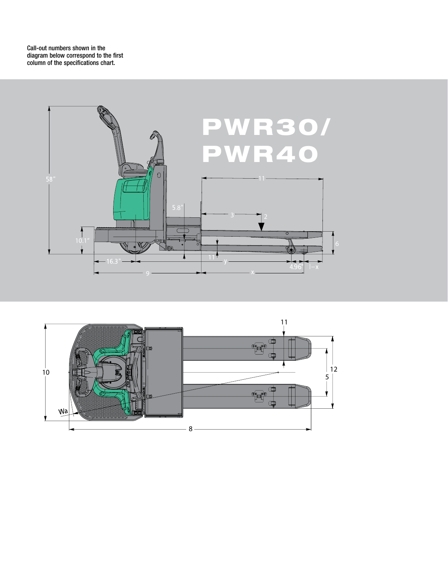Call-out numbers shown in the diagram below correspond to the first column of the specifications chart.